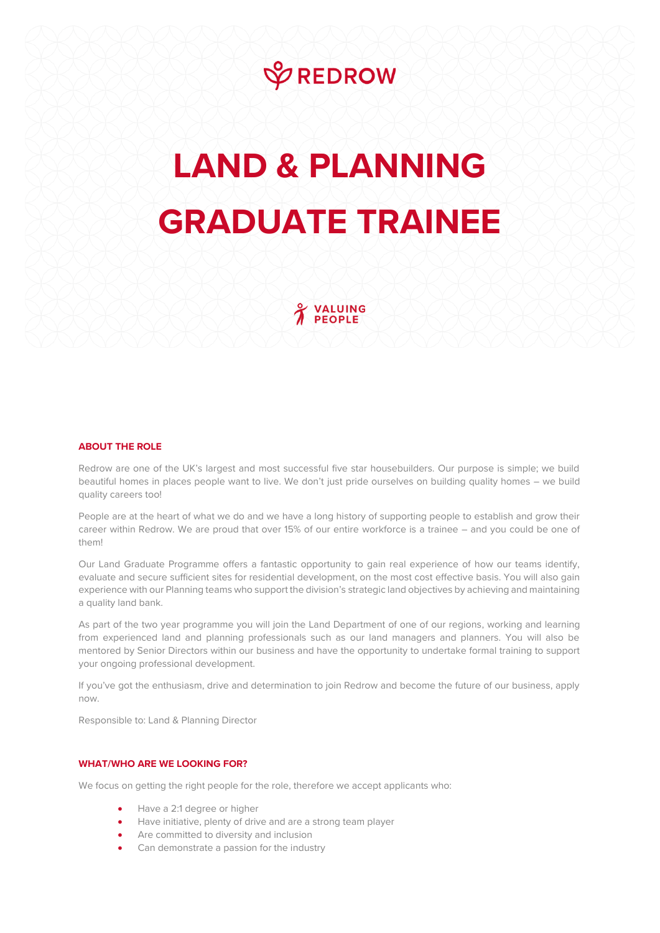

## **LAND & PLANNING GRADUATE TRAINEE**

VALUING **PEOPLE** 

## **ABOUT THE ROLE**

Redrow are one of the UK's largest and most successful five star housebuilders. Our purpose is simple; we build beautiful homes in places people want to live. We don't just pride ourselves on building quality homes – we build quality careers too!

People are at the heart of what we do and we have a long history of supporting people to establish and grow their career within Redrow. We are proud that over 15% of our entire workforce is a trainee – and you could be one of them!

Our Land Graduate Programme offers a fantastic opportunity to gain real experience of how our teams identify, evaluate and secure sufficient sites for residential development, on the most cost effective basis. You will also gain experience with our Planning teams who support the division's strategic land objectives by achieving and maintaining a quality land bank.

As part of the two year programme you will join the Land Department of one of our regions, working and learning from experienced land and planning professionals such as our land managers and planners. You will also be mentored by Senior Directors within our business and have the opportunity to undertake formal training to support your ongoing professional development.

If you've got the enthusiasm, drive and determination to join Redrow and become the future of our business, apply now.

Responsible to: Land & Planning Director

## **WHAT/WHO ARE WE LOOKING FOR?**

We focus on getting the right people for the role, therefore we accept applicants who:

- Have a 2:1 degree or higher
- Have initiative, plenty of drive and are a strong team player
- Are committed to diversity and inclusion
- Can demonstrate a passion for the industry